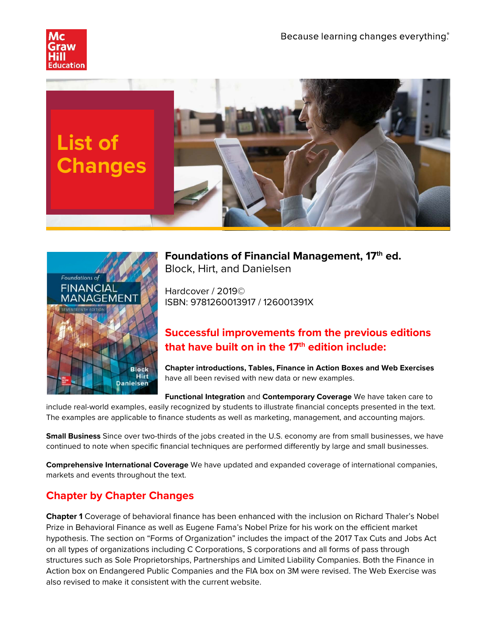





**Foundations of Financial Management, 17th ed.** Block, Hirt, and Danielsen

Hardcover / 2019© ISBN: 9781260013917 / 126001391X

## **Successful improvements from the previous editions that have built on in the 17th edition include:**

**Chapter introductions, Tables, Finance in Action Boxes and Web Exercises**  have all been revised with new data or new examples.

**Functional Integration** and **Contemporary Coverage** We have taken care to include real-world examples, easily recognized by students to illustrate financial concepts presented in the text. The examples are applicable to finance students as well as marketing, management, and accounting majors.

**Small Business** Since over two-thirds of the jobs created in the U.S. economy are from small businesses, we have continued to note when specific financial techniques are performed differently by large and small businesses.

**Comprehensive International Coverage** We have updated and expanded coverage of international companies, markets and events throughout the text.

## **Chapter by Chapter Changes**

**Chapter 1** Coverage of behavioral finance has been enhanced with the inclusion on Richard Thaler's Nobel Prize in Behavioral Finance as well as Eugene Fama's Nobel Prize for his work on the efficient market hypothesis. The section on "Forms of Organization" includes the impact of the 2017 Tax Cuts and Jobs Act on all types of organizations including C Corporations, S corporations and all forms of pass through structures such as Sole Proprietorships, Partnerships and Limited Liability Companies. Both the Finance in Action box on Endangered Public Companies and the FIA box on 3M were revised. The Web Exercise was also revised to make it consistent with the current website.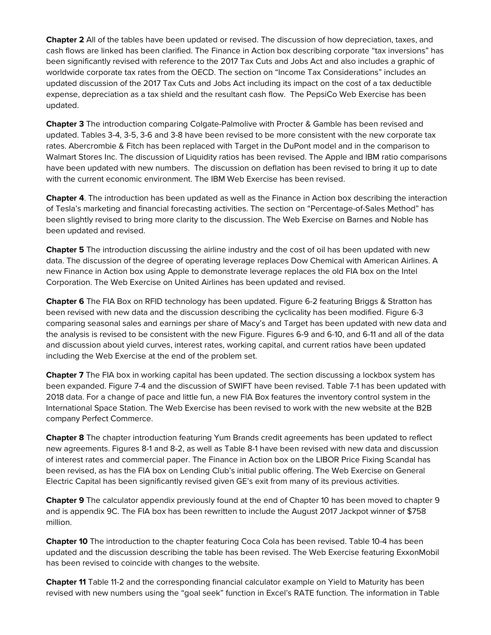**Chapter 2** All of the tables have been updated or revised. The discussion of how depreciation, taxes, and cash flows are linked has been clarified. The Finance in Action box describing corporate "tax inversions" has been significantly revised with reference to the 2017 Tax Cuts and Jobs Act and also includes a graphic of worldwide corporate tax rates from the OECD. The section on "Income Tax Considerations" includes an updated discussion of the 2017 Tax Cuts and Jobs Act including its impact on the cost of a tax deductible expense, depreciation as a tax shield and the resultant cash flow. The PepsiCo Web Exercise has been updated.

**Chapter 3** The introduction comparing Colgate-Palmolive with Procter & Gamble has been revised and updated. Tables 3-4, 3-5, 3-6 and 3-8 have been revised to be more consistent with the new corporate tax rates. Abercrombie & Fitch has been replaced with Target in the DuPont model and in the comparison to Walmart Stores Inc. The discussion of Liquidity ratios has been revised. The Apple and IBM ratio comparisons have been updated with new numbers. The discussion on deflation has been revised to bring it up to date with the current economic environment. The IBM Web Exercise has been revised.

**Chapter 4**. The introduction has been updated as well as the Finance in Action box describing the interaction of Tesla's marketing and financial forecasting activities. The section on "Percentage-of-Sales Method" has been slightly revised to bring more clarity to the discussion. The Web Exercise on Barnes and Noble has been updated and revised.

**Chapter 5** The introduction discussing the airline industry and the cost of oil has been updated with new data. The discussion of the degree of operating leverage replaces Dow Chemical with American Airlines. A new Finance in Action box using Apple to demonstrate leverage replaces the old FIA box on the Intel Corporation. The Web Exercise on United Airlines has been updated and revised.

**Chapter 6** The FIA Box on RFID technology has been updated. Figure 6-2 featuring Briggs & Stratton has been revised with new data and the discussion describing the cyclicality has been modified. Figure 6-3 comparing seasonal sales and earnings per share of Macy's and Target has been updated with new data and the analysis is revised to be consistent with the new Figure. Figures 6-9 and 6-10, and 6-11 and all of the data and discussion about yield curves, interest rates, working capital, and current ratios have been updated including the Web Exercise at the end of the problem set.

**Chapter 7** The FIA box in working capital has been updated. The section discussing a lockbox system has been expanded. Figure 7-4 and the discussion of SWIFT have been revised. Table 7-1 has been updated with 2018 data. For a change of pace and little fun, a new FIA Box features the inventory control system in the International Space Station. The Web Exercise has been revised to work with the new website at the B2B company Perfect Commerce.

**Chapter 8** The chapter introduction featuring Yum Brands credit agreements has been updated to reflect new agreements. Figures 8-1 and 8-2, as well as Table 8-1 have been revised with new data and discussion of interest rates and commercial paper. The Finance in Action box on the LIBOR Price Fixing Scandal has been revised, as has the FIA box on Lending Club's initial public offering. The Web Exercise on General Electric Capital has been significantly revised given GE's exit from many of its previous activities.

**Chapter 9** The calculator appendix previously found at the end of Chapter 10 has been moved to chapter 9 and is appendix 9C. The FIA box has been rewritten to include the August 2017 Jackpot winner of \$758 million.

**Chapter 10** The introduction to the chapter featuring Coca Cola has been revised. Table 10-4 has been updated and the discussion describing the table has been revised. The Web Exercise featuring ExxonMobil has been revised to coincide with changes to the website.

**Chapter 11** Table 11-2 and the corresponding financial calculator example on Yield to Maturity has been revised with new numbers using the "goal seek" function in Excel's RATE function. The information in Table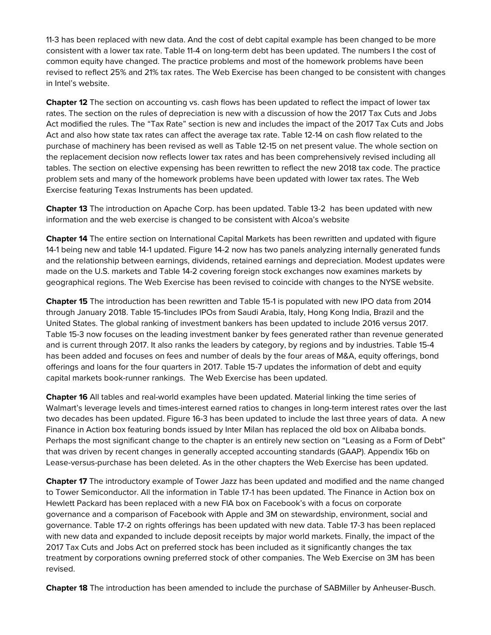11-3 has been replaced with new data. And the cost of debt capital example has been changed to be more consistent with a lower tax rate. Table 11-4 on long-term debt has been updated. The numbers I the cost of common equity have changed. The practice problems and most of the homework problems have been revised to reflect 25% and 21% tax rates. The Web Exercise has been changed to be consistent with changes in Intel's website.

**Chapter 12** The section on accounting vs. cash flows has been updated to reflect the impact of lower tax rates. The section on the rules of depreciation is new with a discussion of how the 2017 Tax Cuts and Jobs Act modified the rules. The "Tax Rate" section is new and includes the impact of the 2017 Tax Cuts and Jobs Act and also how state tax rates can affect the average tax rate. Table 12-14 on cash flow related to the purchase of machinery has been revised as well as Table 12-15 on net present value. The whole section on the replacement decision now reflects lower tax rates and has been comprehensively revised including all tables. The section on elective expensing has been rewritten to reflect the new 2018 tax code. The practice problem sets and many of the homework problems have been updated with lower tax rates. The Web Exercise featuring Texas Instruments has been updated.

**Chapter 13** The introduction on Apache Corp. has been updated. Table 13-2 has been updated with new information and the web exercise is changed to be consistent with Alcoa's website

**Chapter 14** The entire section on International Capital Markets has been rewritten and updated with figure 14-1 being new and table 14-1 updated. Figure 14-2 now has two panels analyzing internally generated funds and the relationship between earnings, dividends, retained earnings and depreciation. Modest updates were made on the U.S. markets and Table 14-2 covering foreign stock exchanges now examines markets by geographical regions. The Web Exercise has been revised to coincide with changes to the NYSE website.

**Chapter 15** The introduction has been rewritten and Table 15-1 is populated with new IPO data from 2014 through January 2018. Table 15-1includes IPOs from Saudi Arabia, Italy, Hong Kong India, Brazil and the United States. The global ranking of investment bankers has been updated to include 2016 versus 2017. Table 15-3 now focuses on the leading investment banker by fees generated rather than revenue generated and is current through 2017. It also ranks the leaders by category, by regions and by industries. Table 15-4 has been added and focuses on fees and number of deals by the four areas of M&A, equity offerings, bond offerings and loans for the four quarters in 2017. Table 15-7 updates the information of debt and equity capital markets book-runner rankings. The Web Exercise has been updated.

**Chapter 16** All tables and real-world examples have been updated. Material linking the time series of Walmart's leverage levels and times-interest earned ratios to changes in long-term interest rates over the last two decades has been updated. Figure 16-3 has been updated to include the last three years of data. A new Finance in Action box featuring bonds issued by Inter Milan has replaced the old box on Alibaba bonds. Perhaps the most significant change to the chapter is an entirely new section on "Leasing as a Form of Debt" that was driven by recent changes in generally accepted accounting standards (GAAP). Appendix 16b on Lease-versus-purchase has been deleted. As in the other chapters the Web Exercise has been updated.

**Chapter 17** The introductory example of Tower Jazz has been updated and modified and the name changed to Tower Semiconductor. All the information in Table 17-1 has been updated. The Finance in Action box on Hewlett Packard has been replaced with a new FIA box on Facebook's with a focus on corporate governance and a comparison of Facebook with Apple and 3M on stewardship, environment, social and governance. Table 17-2 on rights offerings has been updated with new data. Table 17-3 has been replaced with new data and expanded to include deposit receipts by major world markets. Finally, the impact of the 2017 Tax Cuts and Jobs Act on preferred stock has been included as it significantly changes the tax treatment by corporations owning preferred stock of other companies. The Web Exercise on 3M has been revised.

**Chapter 18** The introduction has been amended to include the purchase of SABMiller by Anheuser-Busch.